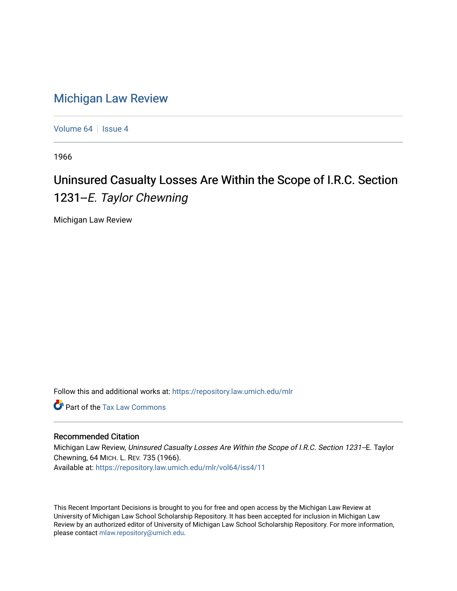## [Michigan Law Review](https://repository.law.umich.edu/mlr)

[Volume 64](https://repository.law.umich.edu/mlr/vol64) | [Issue 4](https://repository.law.umich.edu/mlr/vol64/iss4)

1966

# Uninsured Casualty Losses Are Within the Scope of I.R.C. Section 1231-E. Taylor Chewning

Michigan Law Review

Follow this and additional works at: [https://repository.law.umich.edu/mlr](https://repository.law.umich.edu/mlr?utm_source=repository.law.umich.edu%2Fmlr%2Fvol64%2Fiss4%2F11&utm_medium=PDF&utm_campaign=PDFCoverPages) 

**C** Part of the [Tax Law Commons](http://network.bepress.com/hgg/discipline/898?utm_source=repository.law.umich.edu%2Fmlr%2Fvol64%2Fiss4%2F11&utm_medium=PDF&utm_campaign=PDFCoverPages)

## Recommended Citation

Michigan Law Review, Uninsured Casualty Losses Are Within the Scope of I.R.C. Section 1231--E. Taylor Chewning, 64 MICH. L. REV. 735 (1966). Available at: [https://repository.law.umich.edu/mlr/vol64/iss4/11](https://repository.law.umich.edu/mlr/vol64/iss4/11?utm_source=repository.law.umich.edu%2Fmlr%2Fvol64%2Fiss4%2F11&utm_medium=PDF&utm_campaign=PDFCoverPages) 

This Recent Important Decisions is brought to you for free and open access by the Michigan Law Review at University of Michigan Law School Scholarship Repository. It has been accepted for inclusion in Michigan Law Review by an authorized editor of University of Michigan Law School Scholarship Repository. For more information, please contact [mlaw.repository@umich.edu.](mailto:mlaw.repository@umich.edu)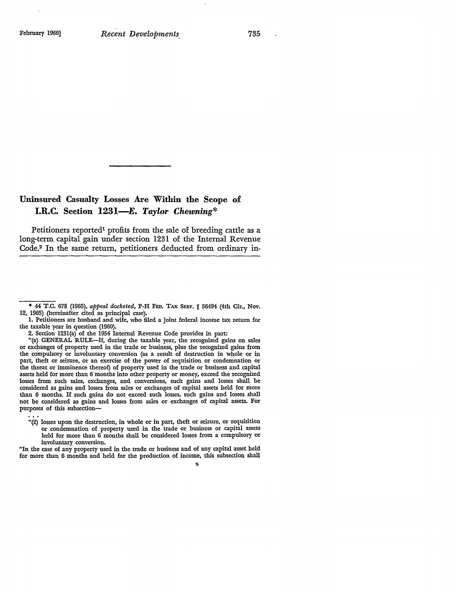## **Uninsured Casualty Losses Are Within the Scope of I.R.C. Section 1231-E.** *Taylor Chewning\**

Petitioners reported<sup>1</sup> profits from the sale of breeding cattle as a long-term capital gain under section 1231 of the Internal Revenue Code.2 In the same return, petitioners deducted from ordinary in-

<sup>• 44</sup> T.C. 678 (1965), *appeal docketed,* P-H FED. TAX SERV. lf 56491 (1th Cir., Nov. 12, 1965) (hereinafter cited as principal case).

<sup>1.</sup> Petitioners are husband and wife, who filed a joint federal income tax return for the taxable year in question (1960).

<sup>2.</sup> Section 123l(a) of the 1951 Internal Revenue Code provides in part:

<sup>&</sup>quot;(a) GENERAL RULE-If, during the taxable year, the recognized gains on sales or exchanges of property used in the trade or business, plus the recognized gains from the compulsory or involuntary conversion (as a result of destruction in whole or in part, theft or seizure, or an exercise of the power of requisition or condemnation or the threat or imminence thereof) of property used in the trade or business and capital assets held for more than 6 months into other property or money, exceed the recognized losses from such sales, exchanges, and conversions, such gains and losses shall be considered as gains and losses from sales or exchanges of capital assets held for more than 6 months. If such gains do not exceed such losses, such gains and losses shall not be considered as gains and losses from sales or exchanges of capital assets. For purposes of this subsection-

<sup>&</sup>quot;(2) losses upon the destruction, in whole or in part, theft or seizure, or requisition or condemnation of property used in the trade or business or capital assets held for more than 6 months shall be considered losses from a compulsory or involuntary conversion.

<sup>&</sup>quot;In the case of any property used in the trade or business and of any capital asset held for more than 6 months and held for the production of income, this subsection shall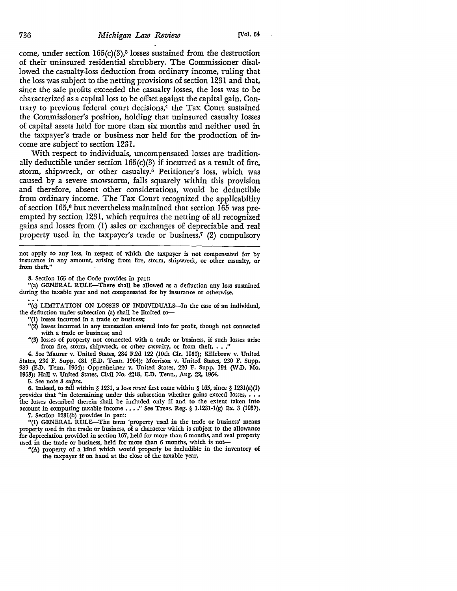### 736 *Michigan Law Review* [Vol. 64

come, under section  $165(c)(3)$ ,<sup>3</sup> losses sustained from the destruction of their uninsured residential shrubbery. The Commissioner disallowed the casualty-loss deduction from ordinary income, ruling that the loss was subject to the netting provisions of section 1231 and that, since the sale profits exceeded the casualty losses, the loss was to be characterized as a capital loss to be offset against the capital gain. Contrary to previous federal court decisions,4 the Tax Court sustained the Commissioner's position, holding that uninsured casualty losses of capital assets held £or more than six months and neither used in the taxpayer's trade or business nor held for the production of income are subjecf to section 1231.

With respect to individuals, uncompensated losses are traditionally deductible under section  $165(c)(3)$  if incurred as a result of fire, storm, shipwreck, or other casualty.5 Petitioner's loss, which was caused by a severe snowstorm, falls squarely within this provision and therefore, absent other considerations, would be deductible from ordinary income. The Tax Court recognized the applicability of section 165,6 but nevertheless maintained that section 165 was preempted by section 1231, which requires the netting of all recognized gains and losses from (1) sales or exchanges of depreciable and real property used in the taxpayer's trade or business,7 (2) compulsory

not apply *to* any loss, in respect of which the taxpayer is not compensated for by insurance in any amount, arising from fire, storm, shipwreck, or other casualty, or from theft."

3. Section 165 of the Code provides in part:

"(a) GENERAL RULE-There shall be allowed as a deduction any loss sustained during the taxable year and not compensated for by insurance or otherwise.

"(c) LIMITATION ON LOSSES OF INDIVIDUALS-In the case of an individual, the deduction under subsection (a) shall be limited to-

"(1) losses incurred in a trade or business;

- "(2) losses incurred in any transaction entered into for profit, though not connected with a trade or business; and
- "(3) losses of property not connected with a trade or business, if such losses arise from fire, storm, shipwreck, or other casualty, or from theft.  $\ldots$ .

4. See Maurer v. United States, 284 F.2d 122 (10th Cir. 1960); Killebrew v. United States, 234 F. Supp. 481 (E.D. Tenn. 1964); Morrison v. United States, 230 F. Supp. 989 (E.D. Tenn. 1964); Oppenheimer v. United States, 220 F. Supp. 194 (W.D. Mo. 1963); Hall v. United States, Civil No. 4218, E.D. Tenn., Aug. 22, 1964.

5. See note 3 *supra.* 

6. Indeed, to fall within § 1231, a loss *must* first come within § 165, since § 1231(a)(I) provides that "in determining under this subsection whether gains exceed losses, . the losses described therein shall be included only if and to the extent taken into account in computing taxable income  $\ldots$ ." See Treas. Reg. § 1.1231-1(g) Ex. 3 (1957).

7. Section 123l(b) provides in part:

"(I) GENERAL RULE-The term 'property used in the trade or business' means property used in the trade or business, of a character which is subject to the allowance for depreciation provided in section 167, held for more than 6 months, and real property used in the trade or business, held for more than 6 months, which is not-

**"(A)** property of a kind which would properly be includible in the inventory of the taxpayer if on hand at the close of the taxable year,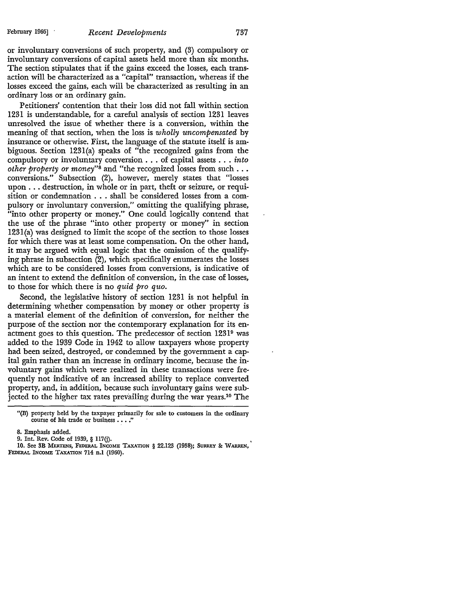or involuntary conversions of such property, and (3) compulsory or involuntary conversions of capital assets held more than six months. The section stipulates that if the gains exceed the losses, each transaction will be characterized as a "capital" transaction, whereas if the losses exceed the gains, each will be characterized as resulting in an ordinary loss or an ordinary gain.

Petitioners' contention that their loss did not fall within section 1231 is understandable, for a careful analysis of section 1231 leaves unresolved the issue of whether there is a conversion, within the meaning of that section, when the loss is *wholly uncompensated* by insurance or otherwise. First, the language of the statute itself is ambiguous. Section 1231(a) speaks of "the recognized gains from the compulsory or involuntary conversion ... of capital assets ... *into other property or money"*8 and "the recognized losses from such ... conversions." Subsection (2), however, merely states that "losses upon ... destruction, in whole or in part, theft or seizure, or requisition or condemnation ... shall be considered losses from a compulsory or involuntary conversion," omitting the qualifying phrase, "into other property or money." One could logically contend that the use of the phrase "into other property or money" in section 1231(a) was designed to limit the scope of the section to those losses for which there was at least some compensation. On the other hand, it may be argued with equal logic that the omission of the qualifying phrase in subsection (2), which specifically enumerates the losses which are to be considered losses from conversions, is indicative of an intent to extend the definition of conversion, in the case of losses, to those for which there is no *quid pro quo.* 

Second, the legislative history of section 1231 is not helpful in determining whether compensation by money or other property is a material element of the definition of conversion, for neither the purpose of the section nor the contemporary explanation for its enactment goes to this question. The predecessor of section 12319 was added to the 1939 Code in 1942 to allow taxpayers whose property had been seized, destroyed, or condemned by the government a capital gain rather than an increase in ordinary income, because the involuntary gains which were realized in these transactions were frequently not indicative of an increased ability to replace converted property, and, in addition, because such involuntary gains were subjected to the higher tax rates prevailing during the war years.10 The

10. See 3B MERTENS, FEDERAL INCOME TAXATION § 22.123 (1958); SURREY&: WARREN, FEDERAL INCOME TAXATION 714 n.l (1960).

<sup>&</sup>quot;(B) property held by the taxpayer primarily for sale to customers in the ordinary course of his trade or business . . . ."

<sup>8.</sup> Emphasis added.

<sup>9.</sup> Int. Rev. Code of 1939, § 117(j).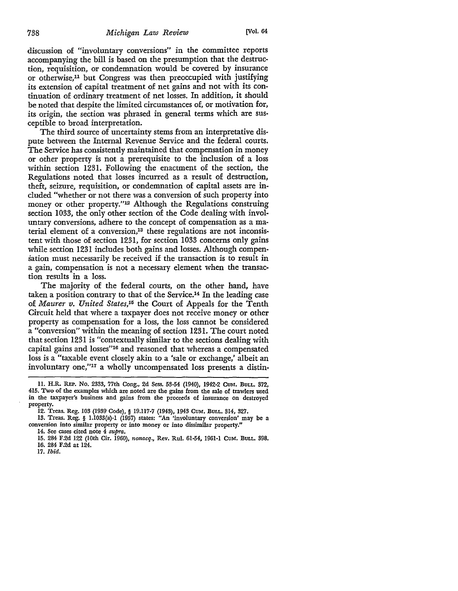discussion of "involuntary conversions" in the committee reports accompanying the bill is based on the presumption that the destruction, requisition, or condemnation would be covered by insurance or otherwise,<sup>11</sup> but Congress was then preoccupied with justifying its extension of capital treatment of net gains and not with its continuation of ordinary treatment of net losses. In addition, it should be noted that despite the limited circumstances of, or motivation for, its origin, the section was phrased in general terms which are susceptible to broad interpretation.

The third source of uncertainty stems from an interpretative dispute between the Internal Revenue Service and the federal courts. The Service has consistently maintained that compensation in money or other property is not a prerequisite to the inclusion of a loss within section 1231. Following the enactment of the section, the Regulations noted that losses incurred as a result of destruction, theft, seizure, requisition, or condemnation of capital assets are included "whether or not there was a conversion of such property into money or other property."<sup>12</sup> Although the Regulations construing section 1033, the only other section of the Code dealing with involuntary conversions, adhere to the concept of compensation as a material element of a conversion,<sup>13</sup> these regulations are not inconsistent with those of section 1231, for section 1033 concerns only gains while section 1231 includes both gains and losses. Although compensation must necessarily be received if the transaction is to result in a gain, compensation is not a necessary element when the transaction results in a loss.

The majority of the federal courts, on the other hand, have taken a position contrary to that of the Service.14 In the leading case 0£ *Maurer v. United States,15* the Court of Appeals for the Tenth Circuit held that where a taxpayer does not receive money or other property as compensation for a loss, the loss cannot be considered a "conversion" within the meaning of section 1231. The court noted that section 1231 is "contextually similar to the sections dealing with capital gains and losses"16 and reasoned that whereas a compensated loss is a "taxable event closely akin to a 'sale or exchange,' albeit an involuntary one,''17 a wholly uncompensated loss presents a distin-

13. Treas. Reg. § I.1033(a)-l (1957) states: "An 'involuntary conversion' may be a conversion into similar property or into money or into dissimilar property."

14. See cases cited note 4 *supra.* 

17. *Ibid.* 

<sup>11.</sup> H.R. REP. No. 2333, 77th Cong., 2d Sess. 53-54 (1940), 1942-2 CuM. BULL, 372, 415. Two of the examples which are noted are the gains from the sale of trawlers used in the taxpayer's business and gains from the proceeds of insurance on destroyed property.

<sup>12.</sup> Treas. Reg. 103 (1939 Code),§ 19.117-7 (1943), 1943 CuM. BULL, 314, 327.

<sup>15. 284</sup> F.2d 122 (10th Cir. 1960), *nonacq.,* Rev. Rul. 61-54, 1961-1 CUM, BULL, 398, 16. 284 F.2d at 124.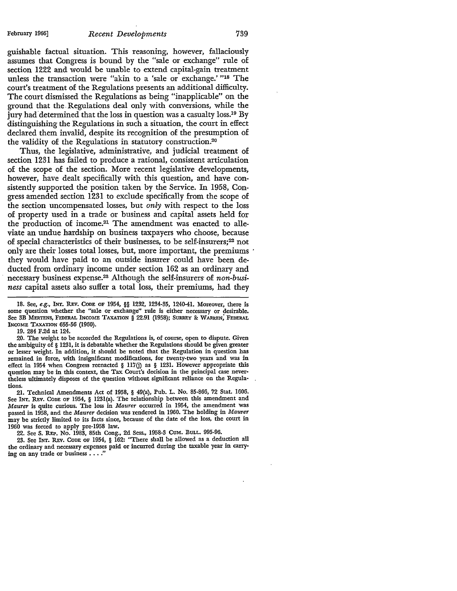#### February 1966] *Recent Developments* 739

guishable factual situation. This reasoning, however, fallaciously assumes that Congress is bound by the "sale or exchange" rule of section 1222 and would be unable to extend capital-gain treatment unless the transaction were "akin to a 'sale or exchange.' "18 The court's treatment of the Regulations presents an additional difficulty. The court dismissed the Regulations as being "inapplicable" on the ground that the. Regulations deal only with conversions, while the jury had determined that the loss in question was a casualty loss.<sup>19</sup> By distinguishing the Regulations in such a situation, the court in effect declared them invalid, despite its recognition of the presumption of the validity of the Regulations in statutory construction.20

Thus, the legislative, administrative, and judicial treatment of section 1231 has failed to produce a rational, consistent articulation of the scope of the section. More recent legislative developments, however, have dealt specifically with this question, and have consistently supported the position taken by the Service. In 1958, Congress amended section 1231 to exclude specifically from the scope of the section uncompensated losses, but *only* with respect to the loss of property used in a trade or business and capital assets held for the production of income.<sup>21</sup> The amendment was enacted to alleviate an undue hardship on business taxpayers who choose, because of special characteristics of their businesses, to be self-insurers;<sup>22</sup> not only are their losses total losses, but, more important, the premiums they would have paid to an outside insurer could have been deducted from ordinary income under section 162 as an ordinary and necessary business expense.23 Although the self-insurers· of *non-business* capital assets also suffer a total loss, their premiums, had they

19. 284 F.2d at 124.

20. The weight to be accorded the Regulations is, of course, open to dispute. Given the ambiguity of § 1231, it is debatable whether the Regulations should be given greater or lesser weight. In addition, it should be noted that the Regulation in question has remained in force, with insignificant modifications, for twenty-two years and was in effect in 1954 when Congress reenacted § 117(j) as § 1231. However appropriate this question may be in this context, the Tax Court's decision in the principal case nevertheless ultimately disposes of the question without significant reliance on the Regulations.

21. Technical Amendments Act of 1958, § 49(a), Pub. L. No. 85-866, 72 Stat. 1606. See INT. REV. CODE OF 1954, § 1231(a). The relationship between this amendment and *Maurer* is quite curious. The loss in *Maurer* occurred in 1954, the amendment was passed in 1958, and the *Maurer* decision was rendered in 1960. The holding in *Maurer*  may be strictly limited to its facts since, because of the date of the loss, the court in 1960 was forced to apply pre-1958 law.

22. See S. REP. No. 1983, 85th Cong., 2d Sess., 1958-3 CuM. BULL. 995-96.

23. See INT. REV. CODE OF 1954, § 162: "There shall be allowed as a deduction all the ordinary and necessary expenses paid or incurred during the taxable year in carrying on any trade or business  $\dots$ .

<sup>18.</sup> See, *e.g.*, INT. REV. CODE OF 1954, §§ 1232, 1234-35, 1240-41. Moreover, there is some question whether the "sale or exchange" rule is either necessary or desirable. See 3B MERTENS, FEDERAL INCOME TAXATION § 22.91 (1958); SURREY & WARREN, FEDERAL INCOME TAXATION 655-56 (1960).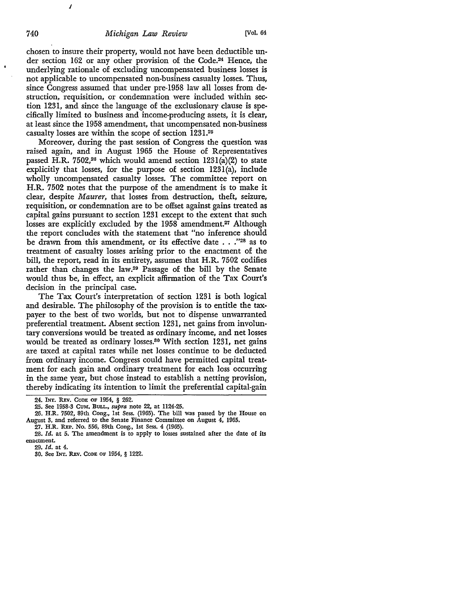chosen to insure their property, would not have been deductible under section 162 or any other provision of the Code.24 Hence, the underlying rationale of excluding uncompensated business losses is not applicable to uncompensated non-business casualty losses. Thus, since Congress assumed that under pre-1958 law all losses from destruction, requisition, or condemnation were included within section 1231, and since the language of the exclusionary· clause is specifically limited to business and income-producing assets, it is clear, at least since the 1958 amendment, that uncompensated non-business casualty losses are within the scope of section 1231.25

Moreover, during the past session of Congress the question was raised again, and in August 1965 the House of Representatives passed H.R. 7502,<sup>26</sup> which would amend section  $1231(a)(2)$  to state explicitly that losses, for the purpose of section 123l(a), include wholly uncompensated casualty losses. The committee report on H.R. 7502 notes that the purpose of the amendment is to make it clear, despite *Maurer,* that losses from destruction, theft, seizure, requisition, or condemnation are to be offset against gains treated as capital gains pursuant to section 1231 except to the extent that such losses are explicitly excluded by the 1958 amendment.<sup>27</sup> Although the report concludes with the statement that "no inference should be drawn from this amendment, or its effective date . . .''28 as to treatment of casualty losses arising prior to the enactment of the bill, the report, read in its entirety, assumes that H.R. 7502 codifies rather than changes the law.29 Passage of the bill by the Senate would thus be, in effect, an explicit affirmation of the Tax Court's decision in the principal case.

The Tax Court's interpretation of section 1231 is both logical and desirable. The philosophy of the provision is to entitle the taxpayer to the best of two worlds, but not to dispense unwarranted preferential treatment. Absent section 1231, net gains from involuntary conversions would be treated as ordinary income, and net losses would be treated as ordinary losses.<sup>30</sup> With section 1231, net gains are taxed at capital rates while net losses continue to be deducted from ordinary income. Congress could have permitted capital treatment for each gain and ordinary treatment for each loss occurring in the same year, but chose instead to establish a netting provision, thereby indicating its intention to limit the preferential capital-gain

*I* 

<sup>24.</sup> INT. REv. CODE OF 1954, § 262.

<sup>25.</sup> See 1958-3 CuM. BuLL., *supra* note 22, at 1124-25.

<sup>26.</sup> H.R. 7502, 89th Cong., 1st Sess. (1965). The bill was passed by the House on August 3, and referred to the Senate Finance Committee on August 4, 1965.

<sup>27.</sup> H.R. REP. No. 556, 89th Cong., 1st Sess. 4 (1965).

<sup>28.</sup> *Id.* at 5. The amendment is to apply to losses sustained after the date of its enactment.

<sup>29.</sup> *Id.* at 4.

<sup>30.</sup> See INT. REv. CODE OF 1954, § 1222.